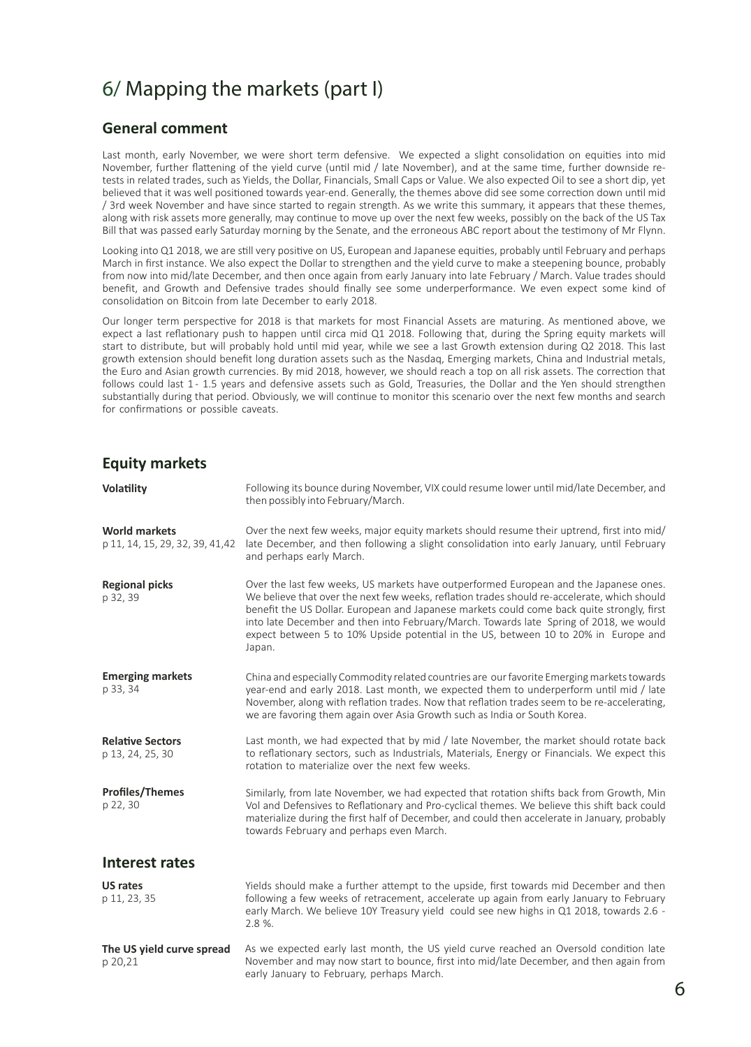## 6/ Mapping the markets (part I)

## **General comment**

Last month, early November, we were short term defensive. We expected a slight consolidation on equities into mid November, further flattening of the yield curve (until mid / late November), and at the same time, further downside retests in related trades, such as Yields, the Dollar, Financials, Small Caps or Value. We also expected Oil to see a short dip, yet believed that it was well positioned towards year-end. Generally, the themes above did see some correction down until mid / 3rd week November and have since started to regain strength. As we write this summary, it appears that these themes, along with risk assets more generally, may continue to move up over the next few weeks, possibly on the back of the US Tax Bill that was passed early Saturday morning by the Senate, and the erroneous ABC report about the testimony of Mr Flynn.

Looking into Q1 2018, we are still very positive on US, European and Japanese equities, probably until February and perhaps March in first instance. We also expect the Dollar to strengthen and the yield curve to make a steepening bounce, probably from now into mid/late December, and then once again from early January into late February / March. Value trades should benefit, and Growth and Defensive trades should finally see some underperformance. We even expect some kind of consolidation on Bitcoin from late December to early 2018.

Our longer term perspective for 2018 is that markets for most Financial Assets are maturing. As mentioned above, we expect a last reflationary push to happen until circa mid Q1 2018. Following that, during the Spring equity markets will start to distribute, but will probably hold until mid year, while we see a last Growth extension during Q2 2018. This last growth extension should benefit long duration assets such as the Nasdaq, Emerging markets, China and Industrial metals, the Euro and Asian growth currencies. By mid 2018, however, we should reach a top on all risk assets. The correction that follows could last 1-1.5 years and defensive assets such as Gold, Treasuries, the Dollar and the Yen should strengthen substantially during that period. Obviously, we will continue to monitor this scenario over the next few months and search for confirmations or possible caveats.

## **Equity markets**

| Volatility                                              | Following its bounce during November, VIX could resume lower until mid/late December, and<br>then possibly into February/March.                                                                                                                                                                                                                                                                                                                                                |
|---------------------------------------------------------|--------------------------------------------------------------------------------------------------------------------------------------------------------------------------------------------------------------------------------------------------------------------------------------------------------------------------------------------------------------------------------------------------------------------------------------------------------------------------------|
| <b>World markets</b><br>p 11, 14, 15, 29, 32, 39, 41,42 | Over the next few weeks, major equity markets should resume their uptrend, first into mid/<br>late December, and then following a slight consolidation into early January, until February<br>and perhaps early March.                                                                                                                                                                                                                                                          |
| <b>Regional picks</b><br>p 32, 39                       | Over the last few weeks, US markets have outperformed European and the Japanese ones.<br>We believe that over the next few weeks, reflation trades should re-accelerate, which should<br>benefit the US Dollar. European and Japanese markets could come back quite strongly, first<br>into late December and then into February/March. Towards late Spring of 2018, we would<br>expect between 5 to 10% Upside potential in the US, between 10 to 20% in Europe and<br>Japan. |
| <b>Emerging markets</b><br>p 33, 34                     | China and especially Commodity related countries are our favorite Emerging markets towards<br>year-end and early 2018. Last month, we expected them to underperform until mid / late<br>November, along with reflation trades. Now that reflation trades seem to be re-accelerating,<br>we are favoring them again over Asia Growth such as India or South Korea.                                                                                                              |
| <b>Relative Sectors</b><br>p 13, 24, 25, 30             | Last month, we had expected that by mid / late November, the market should rotate back<br>to reflationary sectors, such as Industrials, Materials, Energy or Financials. We expect this<br>rotation to materialize over the next few weeks.                                                                                                                                                                                                                                    |
| <b>Profiles/Themes</b><br>p 22, 30                      | Similarly, from late November, we had expected that rotation shifts back from Growth, Min<br>Vol and Defensives to Reflationary and Pro-cyclical themes. We believe this shift back could<br>materialize during the first half of December, and could then accelerate in January, probably<br>towards February and perhaps even March.                                                                                                                                         |
| <b>Interest rates</b>                                   |                                                                                                                                                                                                                                                                                                                                                                                                                                                                                |
| <b>US rates</b><br>p 11, 23, 35                         | Yields should make a further attempt to the upside, first towards mid December and then<br>following a few weeks of retracement, accelerate up again from early January to February<br>early March. We believe 10Y Treasury yield could see new highs in Q1 2018, towards 2.6 -<br>2.8 %.                                                                                                                                                                                      |
| The US yield curve spread<br>p 20,21                    | As we expected early last month, the US yield curve reached an Oversold condition late<br>November and may now start to bounce, first into mid/late December, and then again from<br>early January to February, perhaps March.                                                                                                                                                                                                                                                 |